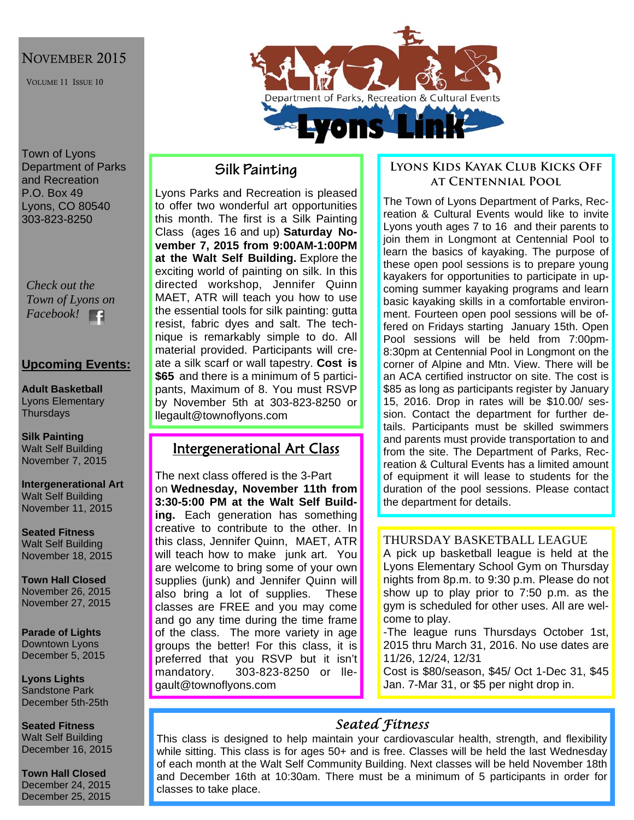## NOVEMBER 2015

VOLUME 11 ISSUE 10

Town of Lyons Department of Parks and Recreation P.O. Box 49 Lyons, CO 80540 303-823-8250

*Check out the Town of Lyons on Facebook!* 

#### **Upcoming Events:**

**Adult Basketball**  Lyons Elementary **Thursdays** 

**Silk Painting**  Walt Self Building November 7, 2015

**Intergenerational Art**  Walt Self Building November 11, 2015

**Seated Fitness**  Walt Self Building November 18, 2015

**Town Hall Closed**  November 26, 2015 November 27, 2015

**Parade of Lights**  Downtown Lyons December 5, 2015

**Lyons Lights**  Sandstone Park December 5th-25th

**Seated Fitness**  Walt Self Building December 16, 2015

**Town Hall Closed**  December 24, 2015 December 25, 2015



## **Silk Painting**

Lyons Parks and Recreation is pleased to offer two wonderful art opportunities this month. The first is a Silk Painting Class (ages 16 and up) **Saturday November 7, 2015 from 9:00AM-1:00PM at the Walt Self Building.** Explore the exciting world of painting on silk. In this directed workshop, Jennifer Quinn MAET. ATR will teach you how to use the essential tools for silk painting: gutta resist, fabric dyes and salt. The technique is remarkably simple to do. All material provided. Participants will create a silk scarf or wall tapestry. **Cost is \$65** and there is a minimum of 5 participants, Maximum of 8. You must RSVP by November 5th at 303-823-8250 or llegault@townoflyons.com

## Intergenerational Art Class

The next class offered is the 3-Part on **Wednesday, November 11th from 3:30-5:00 PM at the Walt Self Building.** Each generation has something creative to contribute to the other. In this class, Jennifer Quinn, MAET, ATR will teach how to make junk art. You are welcome to bring some of your own supplies (junk) and Jennifer Quinn will also bring a lot of supplies. These classes are FREE and you may come and go any time during the time frame of the class. The more variety in age groups the better! For this class, it is preferred that you RSVP but it isn't mandatory. 303-823-8250 or llegault@townoflyons.com

### **Lyons Kids Kayak Club Kicks Off at Centennial Pool**

The Town of Lyons Department of Parks, Recreation & Cultural Events would like to invite Lyons youth ages 7 to 16 and their parents to join them in Longmont at Centennial Pool to learn the basics of kayaking. The purpose of these open pool sessions is to prepare young kayakers for opportunities to participate in upcoming summer kayaking programs and learn basic kayaking skills in a comfortable environment. Fourteen open pool sessions will be offered on Fridays starting January 15th. Open Pool sessions will be held from 7:00pm-8:30pm at Centennial Pool in Longmont on the corner of Alpine and Mtn. View. There will be an ACA certified instructor on site. The cost is \$85 as long as participants register by January 15, 2016. Drop in rates will be \$10.00/ session. Contact the department for further details. Participants must be skilled swimmers and parents must provide transportation to and from the site. The Department of Parks, Recreation & Cultural Events has a limited amount of equipment it will lease to students for the duration of the pool sessions. Please contact the department for details.

#### THURSDAY BASKETBALL LEAGUE

A pick up basketball league is held at the Lyons Elementary School Gym on Thursday nights from 8p.m. to 9:30 p.m. Please do not show up to play prior to 7:50 p.m. as the gym is scheduled for other uses. All are welcome to play.

-The league runs Thursdays October 1st, 2015 thru March 31, 2016. No use dates are 11/26, 12/24, 12/31

Cost is \$80/season, \$45/ Oct 1-Dec 31, \$45 Jan. 7-Mar 31, or \$5 per night drop in.

## *Seated Fitness*

This class is designed to help maintain your cardiovascular health, strength, and flexibility while sitting. This class is for ages 50+ and is free. Classes will be held the last Wednesday of each month at the Walt Self Community Building. Next classes will be held November 18th and December 16th at 10:30am. There must be a minimum of 5 participants in order for classes to take place.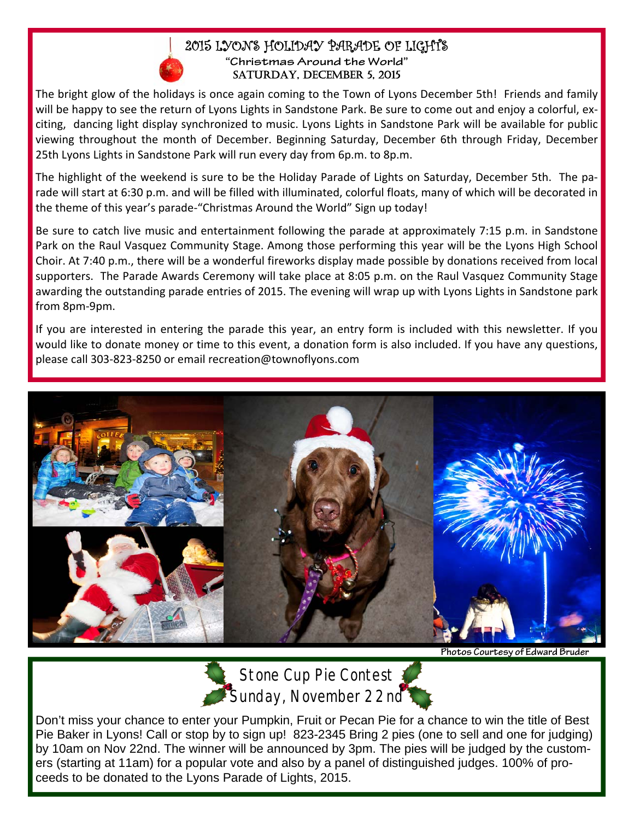### 2015 LYONS HOLIDAY PARADE OF LIGHTS **"Christmas Around the World"**  SATURDAY, DECEMBER 5, 2015

The bright glow of the holidays is once again coming to the Town of Lyons December 5th! Friends and family will be happy to see the return of Lyons Lights in Sandstone Park. Be sure to come out and enjoy a colorful, exciting, dancing light display synchronized to music. Lyons Lights in Sandstone Park will be available for public viewing throughout the month of December. Beginning Saturday, December 6th through Friday, December 25th Lyons Lights in Sandstone Park will run every day from 6p.m. to 8p.m.

The highlight of the weekend is sure to be the Holiday Parade of Lights on Saturday, December 5th. The pa‐ rade will start at 6:30 p.m. and will be filled with illuminated, colorful floats, many of which will be decorated in the theme of this year's parade‐"Christmas Around the World" Sign up today!

Be sure to catch live music and entertainment following the parade at approximately 7:15 p.m. in Sandstone Park on the Raul Vasquez Community Stage. Among those performing this year will be the Lyons High School Choir. At 7:40 p.m., there will be a wonderful fireworks display made possible by donations received from local supporters. The Parade Awards Ceremony will take place at 8:05 p.m. on the Raul Vasquez Community Stage awarding the outstanding parade entries of 2015. The evening will wrap up with Lyons Lights in Sandstone park from 8pm‐9pm.

If you are interested in entering the parade this year, an entry form is included with this newsletter. If you would like to donate money or time to this event, a donation form is also included. If you have any questions, please call 303‐823‐8250 or email recreation@townoflyons.com





**Stone Cup Pie Contest Sunday, November 22nd** 

Don't miss your chance to enter your Pumpkin, Fruit or Pecan Pie for a chance to win the title of Best Pie Baker in Lyons! Call or stop by to sign up! 823-2345 Bring 2 pies (one to sell and one for judging) by 10am on Nov 22nd. The winner will be announced by 3pm. The pies will be judged by the customers (starting at 11am) for a popular vote and also by a panel of distinguished judges. 100% of proceeds to be donated to the Lyons Parade of Lights, 2015.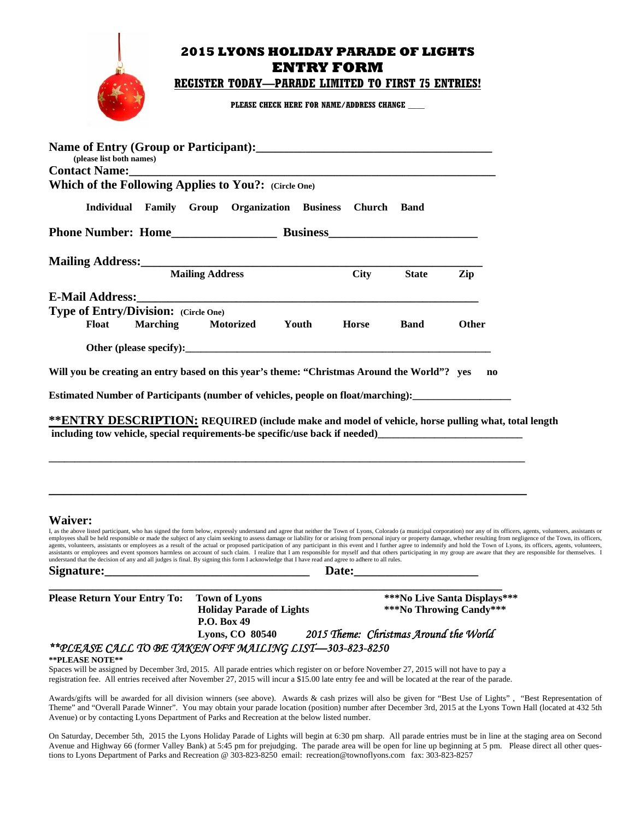## **2015 LYONS HOLIDAY PARADE OF LIGHTS ENTRY FORM REGISTER TODAY—PARADE LIMITED TO FIRST 75 ENTRIES!** PLEASE CHECK HERE FOR NAME/ADDRESS CHANGE Name of Entry (Croup or Participant).

| $\Gamma$ rance of Eintry (Group of T articipant).<br>(please list both names)                                                                                                                                                                                                                                                                                                  |                 |                                                |                 |                    |              |                              |                                                                                                                                                                                                                                                                                                                                                                                                                                                                  |
|--------------------------------------------------------------------------------------------------------------------------------------------------------------------------------------------------------------------------------------------------------------------------------------------------------------------------------------------------------------------------------|-----------------|------------------------------------------------|-----------------|--------------------|--------------|------------------------------|------------------------------------------------------------------------------------------------------------------------------------------------------------------------------------------------------------------------------------------------------------------------------------------------------------------------------------------------------------------------------------------------------------------------------------------------------------------|
| <b>Contact Name:</b><br>Which of the Following Applies to You?: (Circle One)                                                                                                                                                                                                                                                                                                   |                 |                                                |                 |                    |              |                              |                                                                                                                                                                                                                                                                                                                                                                                                                                                                  |
| Individual Family Group                                                                                                                                                                                                                                                                                                                                                        |                 | Organization                                   | <b>Business</b> | <b>Church Band</b> |              |                              |                                                                                                                                                                                                                                                                                                                                                                                                                                                                  |
|                                                                                                                                                                                                                                                                                                                                                                                |                 |                                                |                 |                    |              |                              |                                                                                                                                                                                                                                                                                                                                                                                                                                                                  |
|                                                                                                                                                                                                                                                                                                                                                                                |                 |                                                |                 |                    |              |                              |                                                                                                                                                                                                                                                                                                                                                                                                                                                                  |
| Mailing Address: 2008 and 2008 and 2008 and 2008 and 2008 and 2008 and 2008 and 2008 and 2008 and 2008 and 200                                                                                                                                                                                                                                                                 |                 | <b>Mailing Address</b>                         |                 | <b>City</b>        | <b>State</b> |                              |                                                                                                                                                                                                                                                                                                                                                                                                                                                                  |
|                                                                                                                                                                                                                                                                                                                                                                                |                 |                                                |                 |                    |              | Zip                          |                                                                                                                                                                                                                                                                                                                                                                                                                                                                  |
| <b>E-Mail Address:</b><br>Type of Entry/Division: (Circle One)                                                                                                                                                                                                                                                                                                                 |                 |                                                |                 |                    |              |                              |                                                                                                                                                                                                                                                                                                                                                                                                                                                                  |
| <b>Float</b>                                                                                                                                                                                                                                                                                                                                                                   | <b>Marching</b> | <b>Motorized</b>                               | Youth           | <b>Horse</b>       | <b>Band</b>  | Other                        |                                                                                                                                                                                                                                                                                                                                                                                                                                                                  |
|                                                                                                                                                                                                                                                                                                                                                                                |                 |                                                |                 |                    |              |                              |                                                                                                                                                                                                                                                                                                                                                                                                                                                                  |
| Will you be creating an entry based on this year's theme: "Christmas Around the World"? yes                                                                                                                                                                                                                                                                                    |                 |                                                |                 |                    |              | $\mathbf{n}$                 |                                                                                                                                                                                                                                                                                                                                                                                                                                                                  |
| Estimated Number of Participants (number of vehicles, people on float/marching):                                                                                                                                                                                                                                                                                               |                 |                                                |                 |                    |              |                              |                                                                                                                                                                                                                                                                                                                                                                                                                                                                  |
|                                                                                                                                                                                                                                                                                                                                                                                |                 |                                                |                 |                    |              |                              |                                                                                                                                                                                                                                                                                                                                                                                                                                                                  |
| **ENTRY DESCRIPTION: REQUIRED (include make and model of vehicle, horse pulling what, total length<br>including tow vehicle, special requirements-be specific/use back if needed) https://www.com/community-                                                                                                                                                                   |                 |                                                |                 |                    |              |                              |                                                                                                                                                                                                                                                                                                                                                                                                                                                                  |
|                                                                                                                                                                                                                                                                                                                                                                                |                 |                                                |                 |                    |              |                              |                                                                                                                                                                                                                                                                                                                                                                                                                                                                  |
|                                                                                                                                                                                                                                                                                                                                                                                |                 |                                                |                 |                    |              |                              |                                                                                                                                                                                                                                                                                                                                                                                                                                                                  |
|                                                                                                                                                                                                                                                                                                                                                                                |                 |                                                |                 |                    |              |                              |                                                                                                                                                                                                                                                                                                                                                                                                                                                                  |
|                                                                                                                                                                                                                                                                                                                                                                                |                 |                                                |                 |                    |              |                              |                                                                                                                                                                                                                                                                                                                                                                                                                                                                  |
| <b>Waiver:</b>                                                                                                                                                                                                                                                                                                                                                                 |                 |                                                |                 |                    |              |                              | I, as the above listed participant, who has signed the form below, expressly understand and agree that neither the Town of Lyons, Colorado (a municipal corporation) nor any of its officers, agents, volunteers, assistants o                                                                                                                                                                                                                                   |
| assistants or employees and event sponsors harmless on account of such claim. I realize that I am responsible for myself and that others participating in my group are aware that they are responsible for themselves. I<br>understand that the decision of any and all judges is final. By signing this form I acknowledge that I have read and agree to adhere to all rules. |                 |                                                |                 |                    |              |                              | employees shall be held responsible or made the subject of any claim seeking to assess damage or liability for or arising from personal injury or property damage, whether resulting from negligence of the Town, its officers<br>agents, volunteers, assistants or employees as a result of the actual or proposed participation of any participant in this event and I further agree to indemnify and hold the Town of Lyons, its officers, agents, volunteers |
| Signature: Signature:                                                                                                                                                                                                                                                                                                                                                          |                 |                                                |                 |                    | Date:        |                              |                                                                                                                                                                                                                                                                                                                                                                                                                                                                  |
| <b>Please Return Your Entry To:</b>                                                                                                                                                                                                                                                                                                                                            |                 | <b>Town of Lyons</b>                           |                 |                    |              | ***No Live Santa Displays*** |                                                                                                                                                                                                                                                                                                                                                                                                                                                                  |
|                                                                                                                                                                                                                                                                                                                                                                                |                 | <b>Holiday Parade of Lights</b><br>P.O. Box 49 |                 |                    |              | ***No Throwing Candy***      |                                                                                                                                                                                                                                                                                                                                                                                                                                                                  |

## *\*\*PLEASE CALL TO BE TAKEN OFF MAILING LIST—303-823-8250*

#### **\*\*PLEASE NOTE\*\***

Spaces will be assigned by December 3rd, 2015. All parade entries which register on or before November 27, 2015 will not have to pay a registration fee. All entries received after November 27, 2015 will incur a \$15.00 late entry fee and will be located at the rear of the parade.

Awards/gifts will be awarded for all division winners (see above). Awards & cash prizes will also be given for "Best Use of Lights" , "Best Representation of Theme" and "Overall Parade Winner". You may obtain your parade location (position) number after December 3rd, 2015 at the Lyons Town Hall (located at 432 5th Avenue) or by contacting Lyons Department of Parks and Recreation at the below listed number.

 **Lyons, CO 80540** *2015 Theme: Christmas Around the World* 

On Saturday, December 5th, 2015 the Lyons Holiday Parade of Lights will begin at 6:30 pm sharp. All parade entries must be in line at the staging area on Second Avenue and Highway 66 (former Valley Bank) at 5:45 pm for prejudging. The parade area will be open for line up beginning at 5 pm. Please direct all other questions to Lyons Department of Parks and Recreation @ 303-823-8250 email: recreation@townoflyons.com fax: 303-823-8257